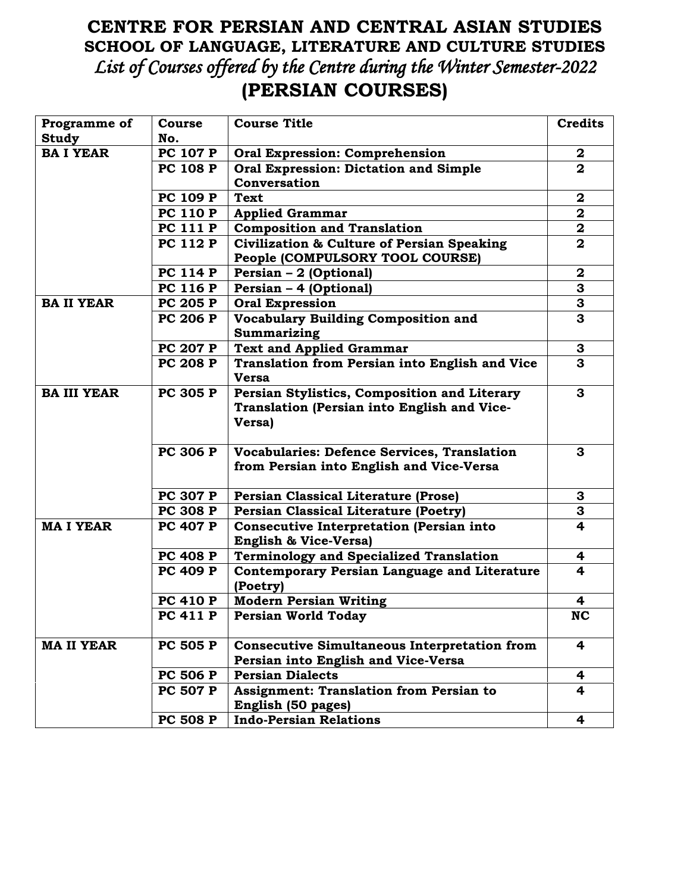## **CENTRE FOR PERSIAN AND CENTRAL ASIAN STUDIES SCHOOL OF LANGUAGE, LITERATURE AND CULTURE STUDIES** *List of Courses offered by the Centre during the Winter Semester-2022*  **(PERSIAN COURSES)**

| Programme of       | <b>Course</b>                      | <b>Course Title</b>                                 | <b>Credits</b>          |
|--------------------|------------------------------------|-----------------------------------------------------|-------------------------|
| <b>Study</b>       | No.                                |                                                     |                         |
| <b>BAI YEAR</b>    | <b>PC 107 P</b>                    | <b>Oral Expression: Comprehension</b>               | $\boldsymbol{2}$        |
|                    | <b>PC 108 P</b>                    | <b>Oral Expression: Dictation and Simple</b>        | $\overline{\mathbf{2}}$ |
|                    |                                    | Conversation                                        |                         |
|                    | <b>PC 109 P</b>                    | <b>Text</b>                                         | $\boldsymbol{2}$        |
|                    | <b>PC 110 P</b>                    | <b>Applied Grammar</b>                              | $\mathbf{2}$            |
|                    | <b>PC 111 P</b>                    | <b>Composition and Translation</b>                  | $\overline{\mathbf{2}}$ |
|                    | <b>PC 112 P</b>                    | Civilization & Culture of Persian Speaking          | $\mathbf{2}$            |
|                    |                                    | People (COMPULSORY TOOL COURSE)                     |                         |
|                    | <b>PC 114 P</b>                    | Persian - 2 (Optional)                              | $\mathbf{2}$            |
|                    | <b>PC 116 P</b>                    | Persian - 4 (Optional)                              | 3                       |
| <b>BA II YEAR</b>  | <b>PC 205 P</b>                    | <b>Oral Expression</b>                              | $\overline{\mathbf{3}}$ |
|                    | <b>PC 206 P</b>                    | <b>Vocabulary Building Composition and</b>          | 3                       |
|                    |                                    | Summarizing                                         |                         |
|                    | <b>PC 207 P</b>                    | <b>Text and Applied Grammar</b>                     | 3                       |
|                    | <b>PC 208 P</b>                    | Translation from Persian into English and Vice      | 3                       |
|                    |                                    | <b>Versa</b>                                        |                         |
| <b>BA III YEAR</b> | <b>PC 305 P</b>                    | Persian Stylistics, Composition and Literary        | 3                       |
|                    |                                    | Translation (Persian into English and Vice-         |                         |
|                    |                                    | Versa)                                              |                         |
|                    |                                    |                                                     |                         |
|                    | <b>PC 306 P</b>                    | Vocabularies: Defence Services, Translation         | 3                       |
|                    |                                    | from Persian into English and Vice-Versa            |                         |
|                    |                                    |                                                     |                         |
|                    | <b>PC 307 P</b>                    | <b>Persian Classical Literature (Prose)</b>         | 3                       |
|                    | <b>PC 308 P</b>                    | <b>Persian Classical Literature (Poetry)</b>        | 3                       |
| <b>MAI YEAR</b>    | <b>PC 407 P</b>                    | <b>Consecutive Interpretation (Persian into</b>     | $\overline{\mathbf{4}}$ |
|                    |                                    | <b>English &amp; Vice-Versa)</b>                    |                         |
|                    | <b>PC 408 P</b>                    | <b>Terminology and Specialized Translation</b>      | 4                       |
|                    | <b>PC 409 P</b>                    | Contemporary Persian Language and Literature        | 4                       |
|                    |                                    | (Poetry)                                            |                         |
|                    | <b>PC 410 P</b><br><b>PC 411 P</b> | <b>Modern Persian Writing</b>                       | 4<br><b>NC</b>          |
|                    |                                    | <b>Persian World Today</b>                          |                         |
| <b>MA II YEAR</b>  | <b>PC 505 P</b>                    | <b>Consecutive Simultaneous Interpretation from</b> | 4                       |
|                    |                                    | Persian into English and Vice-Versa                 |                         |
|                    | <b>PC 506 P</b>                    | <b>Persian Dialects</b>                             | 4                       |
|                    | <b>PC 507 P</b>                    | <b>Assignment: Translation from Persian to</b>      | 4                       |
|                    |                                    | English (50 pages)                                  |                         |
|                    | <b>PC 508 P</b>                    | <b>Indo-Persian Relations</b>                       | 4                       |